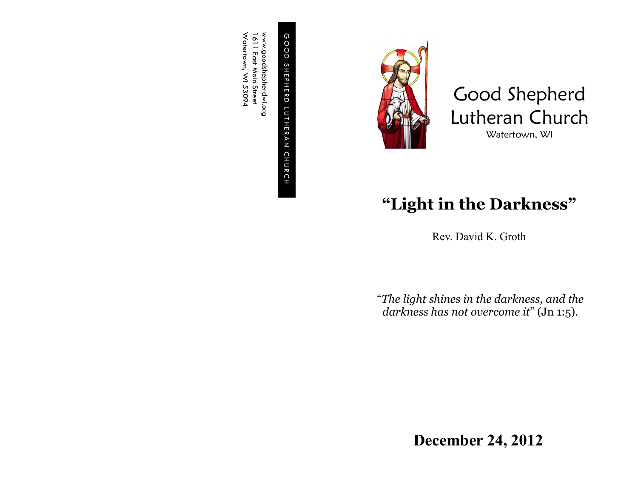G O O D S H E P H E R D L U T H E R GOOD SHEPHERD LUTHERAN CHURCH C H U R C H

www.goodshepherdwi.org<br>1611 East Main Street<br>Watertown, WI 53094 Watertown, WI 53094 www.goodshepherdwi.org 1611 East Main Street



Good Shepherd Lutheran Church Watertown, WI

## **"Light in the Darkness"**

Rev. David K. Groth

"*The light shines in the darkness, and the darkness has not overcome it*" (Jn 1:5).

**December 24, 2012**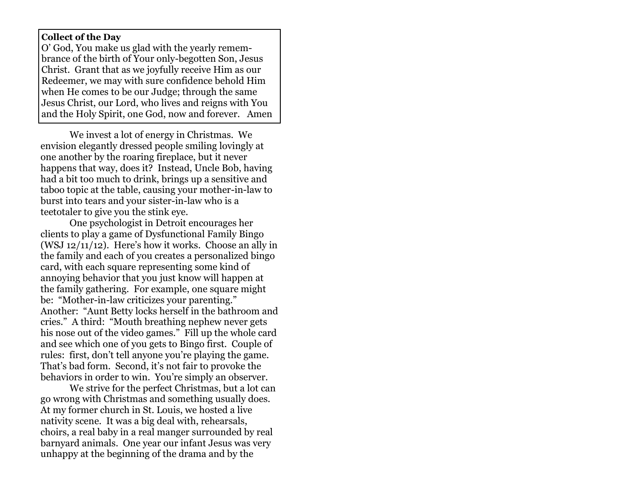## **Collect of the Day**

O' God, You make us glad with the yearly remembrance of the birth of Your only-begotten Son, Jesus Christ. Grant that as we joyfully receive Him as our Redeemer, we may with sure confidence behold Him when He comes to be our Judge; through the same Jesus Christ, our Lord, who lives and reigns with You and the Holy Spirit, one God, now and forever. Amen

We invest a lot of energy in Christmas. We envision elegantly dressed people smiling lovingly at one another by the roaring fireplace, but it never happens that way, does it? Instead, Uncle Bob, having had a bit too much to drink, brings up a sensitive and taboo topic at the table, causing your mother-in-law to burst into tears and your sister-in-law who is a teetotaler to give you the stink eye.

One psychologist in Detroit encourages her clients to play a game of Dysfunctional Family Bingo (WSJ 12/11/12). Here's how it works. Choose an ally in the family and each of you creates a personalized bingo card, with each square representing some kind of annoying behavior that you just know will happen at the family gathering. For example, one square might be: "Mother-in-law criticizes your parenting." Another: "Aunt Betty locks herself in the bathroom and cries." A third: "Mouth breathing nephew never gets his nose out of the video games." Fill up the whole card and see which one of you gets to Bingo first. Couple of rules: first, don't tell anyone you're playing the game. That's bad form. Second, it's not fair to provoke the behaviors in order to win. You're simply an observer.

We strive for the perfect Christmas, but a lot can go wrong with Christmas and something usually does. At my former church in St. Louis, we hosted a live nativity scene. It was a big deal with, rehearsals, choirs, a real baby in a real manger surrounded by real barnyard animals. One year our infant Jesus was very unhappy at the beginning of the drama and by the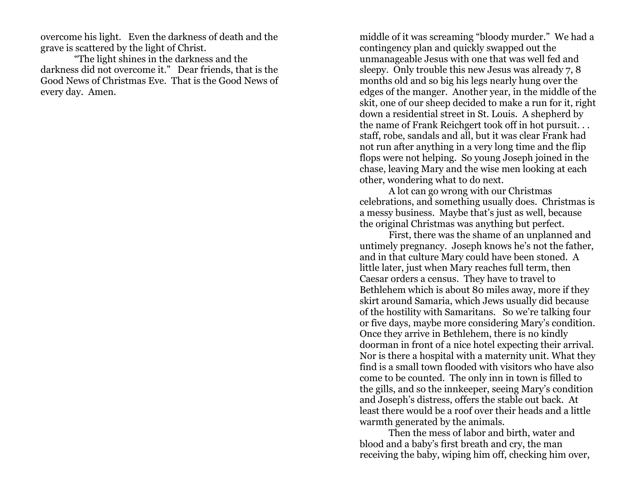overcome his light. Even the darkness of death and the grave is scattered by the light of Christ.

 "The light shines in the darkness and the darkness did not overcome it." Dear friends, that is the Good News of Christmas Eve. That is the Good News of every day. Amen.

middle of it was screaming "bloody murder." We had a contingency plan and quickly swapped out the unmanageable Jesus with one that was well fed and sleepy. Only trouble this new Jesus was already 7, 8 months old and so big his legs nearly hung over the edges of the manger. Another year, in the middle of the skit, one of our sheep decided to make a run for it, right down a residential street in St. Louis. A shepherd by the name of Frank Reichgert took off in hot pursuit. . . staff, robe, sandals and all, but it was clear Frank had not run after anything in a very long time and the flip flops were not helping. So young Joseph joined in the chase, leaving Mary and the wise men looking at each other, wondering what to do next.

A lot can go wrong with our Christmas celebrations, and something usually does. Christmas is a messy business. Maybe that's just as well, because the original Christmas was anything but perfect.

First, there was the shame of an unplanned and untimely pregnancy. Joseph knows he's not the father, and in that culture Mary could have been stoned. A little later, just when Mary reaches full term, then Caesar orders a census. They have to travel to Bethlehem which is about 80 miles away, more if they skirt around Samaria, which Jews usually did because of the hostility with Samaritans. So we're talking four or five days, maybe more considering Mary's condition. Once they arrive in Bethlehem, there is no kindly doorman in front of a nice hotel expecting their arrival. Nor is there a hospital with a maternity unit. What they find is a small town flooded with visitors who have also come to be counted. The only inn in town is filled to the gills, and so the innkeeper, seeing Mary's condition and Joseph's distress, offers the stable out back. At least there would be a roof over their heads and a little warmth generated by the animals.

Then the mess of labor and birth, water and blood and a baby's first breath and cry, the man receiving the baby, wiping him off, checking him over,